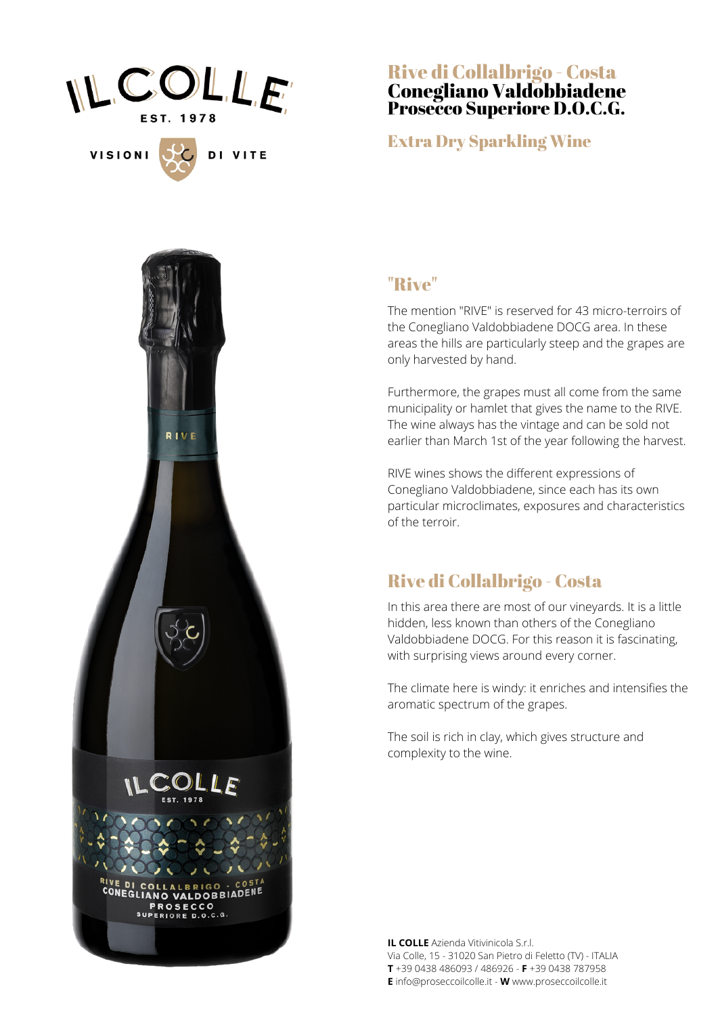

DI VITE

**VISIONI** 

Rive di Collalbrigo - Costa Conegliano Valdobbiadene Prosecco Superiore D.O.C.G.

#### Extra Dry Sparkling Wine



#### "Rive"

The mention "RIVE" is reserved for 43 micro-terroirs of the Conegliano Valdobbiadene DOCG area. In these areas the hills are particularly steep and the grapes are only harvested by hand.

Furthermore, the grapes must all come from the same municipality or hamlet that gives the name to the RIVE. The wine always has the vintage and can be sold not earlier than March 1st of the year following the harvest.

RIVE wines shows the different expressions of Conegliano Valdobbiadene, since each has its own particular microclimates, exposures and characteristics of the terroir.

#### Rive di Collalbrigo - Costa

In this area there are most of our vineyards. It is a little hidden, less known than others of the Conegliano Valdobbiadene DOCG. For this reason it is fascinating, with surprising views around every corner.

The climate here is windy: it enriches and intensifies the aromatic spectrum of the grapes.

The soil is rich in clay, which gives structure and complexity to the wine.

**IL COLLE** Azienda Vitivinicola S.r.l. Via Colle, 15 - 31020 San Pietro di Feletto (TV) - ITALIA **T** +39 0438 486093 / 486926 - **F** +39 0438 787958 **E** info@proseccoilcolle.it - **W** www.proseccoilcolle.it